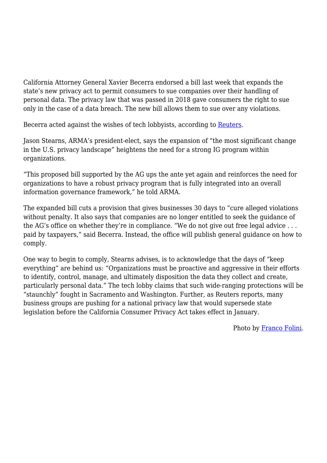California Attorney General Xavier Becerra endorsed a bill last week that expands the state's new privacy act to permit consumers to sue companies over their handling of personal data. The privacy law that was passed in 2018 gave consumers the right to sue only in the case of a data breach. The new bill allows them to sue over any violations.

Becerra acted against the wishes of tech lobbyists, according to [Reuters.](https://mobile.reuters.com/article/amp/idUSKCN1QE2M6)

Jason Stearns, ARMA's president-elect, says the expansion of "the most significant change in the U.S. privacy landscape" heightens the need for a strong IG program within organizations.

"This proposed bill supported by the AG ups the ante yet again and reinforces the need for organizations to have a robust privacy program that is fully integrated into an overall information governance framework," he told ARMA.

The expanded bill cuts a provision that gives businesses 30 days to "cure alleged violations without penalty. It also says that companies are no longer entitled to seek the guidance of the AG's office on whether they're in compliance. "We do not give out free legal advice . . . paid by taxpayers," said Becerra. Instead, the office will publish general guidance on how to comply.

One way to begin to comply, Stearns advises, is to acknowledge that the days of "keep everything" are behind us: "Organizations must be proactive and aggressive in their efforts to identify, control, manage, and ultimately disposition the data they collect and create, particularly personal data." The tech lobby claims that such wide-ranging protections will be "staunchly" fought in Sacramento and Washington. Further, as Reuters reports, many business groups are pushing for a national privacy law that would supersede state legislation before the California Consumer Privacy Act takes effect in January.

Photo by [Franco Folini](https://www.flickr.com/photos/livenature/174259121/in/photolist-gp8aB-STRQkL-SdptiV-GcxHfA-23gGfdo-THENaQ-ijHnNY-sae8yu-r6PPfu-q7x9ee-qhKFz9-r8JWch-JTJeuj-ojw1Ya-x96uTz-pbtcjL-fHHfKs-RngzfQ-CeWGuK-bdyBtr-Fqwwwd-qzMqyM-BC6orm-qVf3Jg-XrKiPz-BHk4qX-bbZFCV-R4QuFH-4r2QHN-R5pezo-LKJQmg-ospVS7-5J7XdL-Dy1zYZ-fSHRAU-S37eTE-CACcwM-fS4Mbr-ohDQd9-Q3VTXN-Q3GUNW-6n4TW9-e5WfTc-YbSrLg-cBVZqN-k7tdBf-F1nRZP-nYT6y8-hiDCcZ-T9CHE8).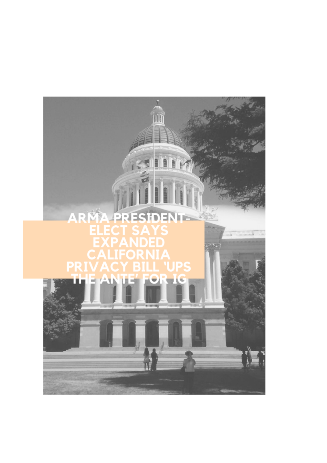